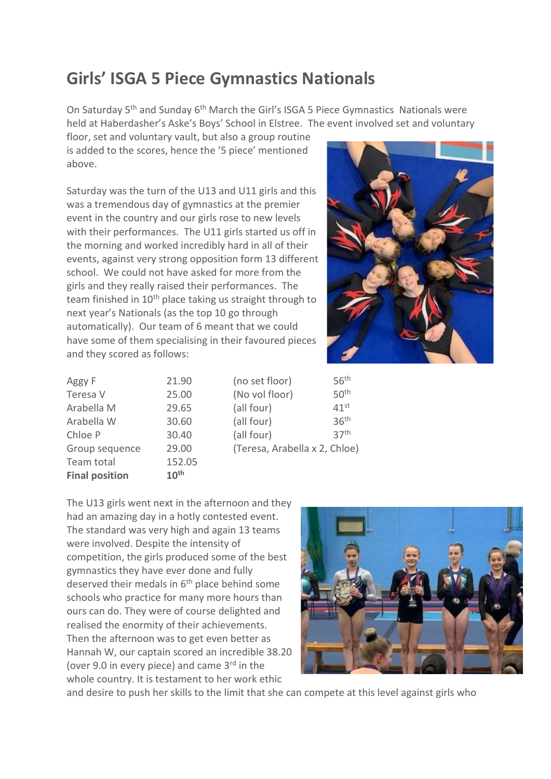## **Girls' ISGA 5 Piece Gymnastics Nationals**

On Saturday 5th and Sunday 6th March the Girl's ISGA 5 Piece Gymnastics Nationals were held at Haberdasher's Aske's Boys' School in Elstree. The event involved set and voluntary

floor, set and voluntary vault, but also a group routine is added to the scores, hence the '5 piece' mentioned above.

Saturday was the turn of the U13 and U11 girls and this was a tremendous day of gymnastics at the premier event in the country and our girls rose to new levels with their performances. The U11 girls started us off in the morning and worked incredibly hard in all of their events, against very strong opposition form 13 different school. We could not have asked for more from the girls and they really raised their performances. The team finished in 10<sup>th</sup> place taking us straight through to next year's Nationals (as the top 10 go through automatically). Our team of 6 meant that we could have some of them specialising in their favoured pieces and they scored as follows:



| <b>Final position</b> | 10 <sup>th</sup> |  |
|-----------------------|------------------|--|
| Team total            | 152.05           |  |
| Group sequence        | 29.00            |  |
| Chloe P               | 30.40            |  |
| Arabella W            | 30.60            |  |
| Arabella M            | 29.65            |  |
| Teresa V              | 25.00            |  |
| Aggy F                | 21.90            |  |

 $1.90$  (no set floor)  $56<sup>th</sup>$  $5.00$  (No vol floor)  $50<sup>th</sup>$  $9.65$  (all four)  $41^{st}$  $0.60$  (all four)  $36<sup>th</sup>$  $0.40$  (all four)  $37<sup>th</sup>$ 9.00 (Teresa, Arabella x 2, Chloe)

The U13 girls went next in the afternoon and they had an amazing day in a hotly contested event. The standard was very high and again 13 teams were involved. Despite the intensity of competition, the girls produced some of the best gymnastics they have ever done and fully deserved their medals in  $6<sup>th</sup>$  place behind some schools who practice for many more hours than ours can do. They were of course delighted and realised the enormity of their achievements. Then the afternoon was to get even better as Hannah W, our captain scored an incredible 38.20 (over 9.0 in every piece) and came  $3<sup>rd</sup>$  in the whole country. It is testament to her work ethic



and desire to push her skills to the limit that she can compete at this level against girls who